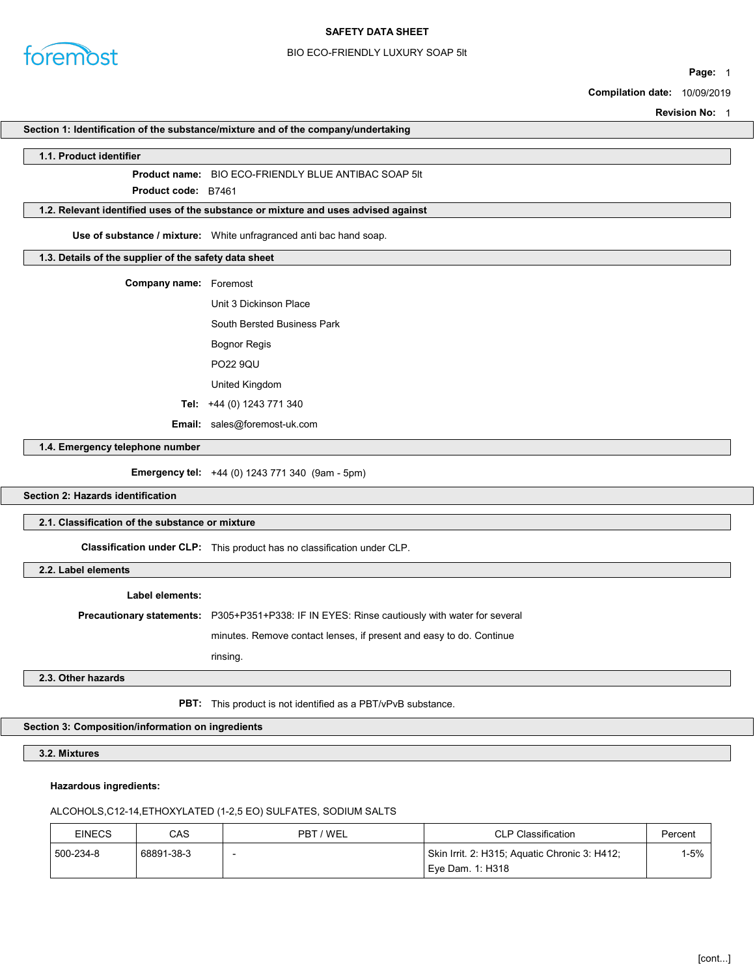

## BIO ECO-FRIENDLY LUXURY SOAP 5lt

Page: 1

Compilation date: 10/09/2019

Revision No: 1

#### Section 1: Identification of the substance/mixture and of the company/undertaking

#### 1.1. Product identifier

Product name: BIO ECO-FRIENDLY BLUE ANTIBAC SOAP 5lt

Product **cod**e: B7461

## 1.2. Relevant identified uses of the substance or mixture and uses advised against

Use of substance / mixture: White unfragranced anti bac hand soap.

## 1.3. Details of the supplier of the safety data sheet

| <b>Company name:</b> Foremost |                                     |  |
|-------------------------------|-------------------------------------|--|
|                               | Unit 3 Dickinson Place              |  |
|                               | South Bersted Business Park         |  |
|                               | Bognor Regis                        |  |
|                               | <b>PO22 9QU</b>                     |  |
|                               | United Kingdom                      |  |
|                               | Tel: $+44(0)$ 1243 771 340          |  |
|                               | <b>Email:</b> sales@foremost-uk.com |  |

1.4. Emergency telephone number

Emergency tel: +44 (0) 1243 771 340 (9am - 5pm)

Section 2: Hazards identification

## 2.1. Classification of the substance or mixture

Classification under CLP: This product has no classification under CLP.

2.2. Label elements

#### Label elements:

Precautionary statements: P305+P351+P338: IF IN EYES: Rinse cautiously with water for several

minutes. Remove contact lenses, if present and easy to do. Continue

rinsing.

#### 2.3. Other hazards

PBT: This product is not identified as a PBT/vPvB substance.

## Section 3: Composition/information on ingredients

3.2. Mixtures

### Hazardous ingredients:

## ALCOHOLS,C12-14,ETHOXYLATED (1-2,5 EO) SULFATES, SODIUM SALTS

| <b>EINECS</b> | CAS        | PBT / WEL | <b>CLP Classification</b>                     | Percent |
|---------------|------------|-----------|-----------------------------------------------|---------|
| 500-234-8     | 68891-38-3 |           | Skin Irrit. 2: H315; Aquatic Chronic 3: H412; | I-5% ∣  |
|               |            |           | Eve Dam. 1: H318                              |         |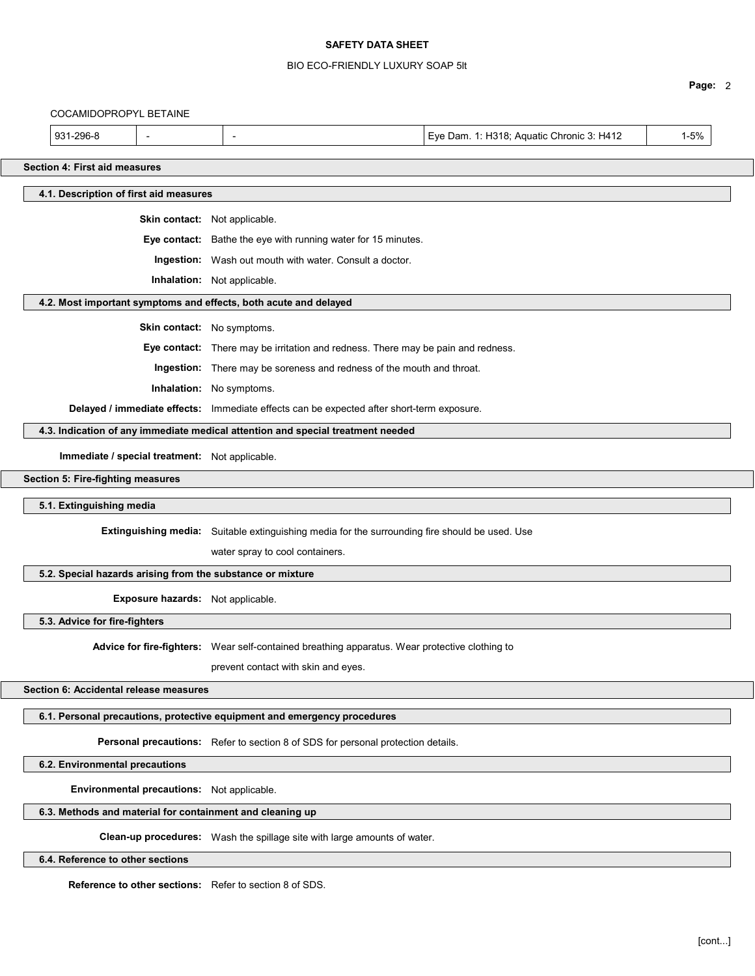## BIO ECO-FRIENDLY LUXURY SOAP 5lt

|                                                                  |                                                                                                |                                           | Page: 2  |
|------------------------------------------------------------------|------------------------------------------------------------------------------------------------|-------------------------------------------|----------|
| COCAMIDOPROPYL BETAINE                                           |                                                                                                |                                           |          |
| 931-296-8<br>$\overline{\phantom{a}}$                            | -                                                                                              | Eye Dam. 1: H318; Aquatic Chronic 3: H412 | $1 - 5%$ |
| <b>Section 4: First aid measures</b>                             |                                                                                                |                                           |          |
| 4.1. Description of first aid measures                           |                                                                                                |                                           |          |
|                                                                  | Skin contact: Not applicable.                                                                  |                                           |          |
|                                                                  | Eye contact: Bathe the eye with running water for 15 minutes.                                  |                                           |          |
|                                                                  | Ingestion: Wash out mouth with water. Consult a doctor.                                        |                                           |          |
|                                                                  | Inhalation: Not applicable.                                                                    |                                           |          |
| 4.2. Most important symptoms and effects, both acute and delayed |                                                                                                |                                           |          |
|                                                                  | Skin contact: No symptoms.                                                                     |                                           |          |
|                                                                  | Eye contact: There may be irritation and redness. There may be pain and redness.               |                                           |          |
|                                                                  | Ingestion: There may be soreness and redness of the mouth and throat.                          |                                           |          |
|                                                                  | Inhalation: No symptoms.                                                                       |                                           |          |
|                                                                  | Delayed / immediate effects: Immediate effects can be expected after short-term exposure.      |                                           |          |
|                                                                  | 4.3. Indication of any immediate medical attention and special treatment needed                |                                           |          |
| Immediate / special treatment: Not applicable.                   |                                                                                                |                                           |          |
| Section 5: Fire-fighting measures                                |                                                                                                |                                           |          |
| 5.1. Extinguishing media                                         |                                                                                                |                                           |          |
|                                                                  | Extinguishing media: Suitable extinguishing media for the surrounding fire should be used. Use |                                           |          |
|                                                                  | water spray to cool containers.                                                                |                                           |          |
| 5.2. Special hazards arising from the substance or mixture       |                                                                                                |                                           |          |
| Exposure hazards: Not applicable.                                |                                                                                                |                                           |          |
| 5.3. Advice for fire-fighters                                    |                                                                                                |                                           |          |
|                                                                  | Advice for fire-fighters: Wear self-contained breathing apparatus. Wear protective clothing to |                                           |          |
|                                                                  | prevent contact with skin and eyes.                                                            |                                           |          |
| Section 6: Accidental release measures                           |                                                                                                |                                           |          |
|                                                                  | 6.1. Personal precautions, protective equipment and emergency procedures                       |                                           |          |
|                                                                  | Personal precautions: Refer to section 8 of SDS for personal protection details.               |                                           |          |
| 6.2. Environmental precautions                                   |                                                                                                |                                           |          |
| Environmental precautions: Not applicable.                       |                                                                                                |                                           |          |
| 6.3. Methods and material for containment and cleaning up        |                                                                                                |                                           |          |
|                                                                  | Clean-up procedures: Wash the spillage site with large amounts of water.                       |                                           |          |
| 6.4. Reference to other sections                                 |                                                                                                |                                           |          |
| Reference to other sections: Refer to section 8 of SDS.          |                                                                                                |                                           |          |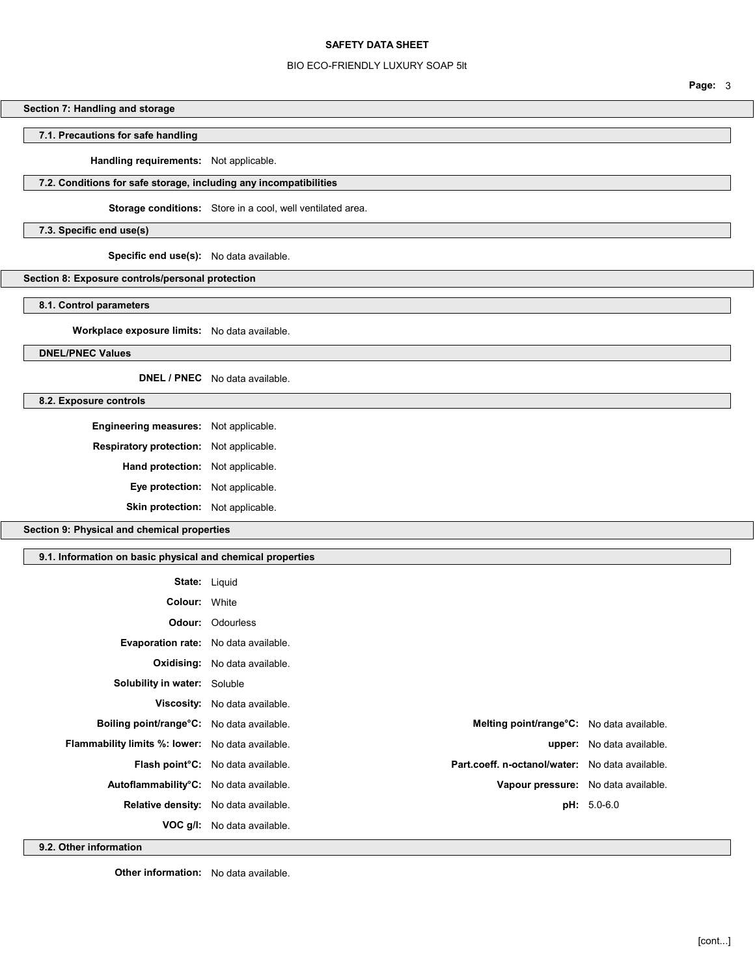### BIO ECO-FRIENDLY LUXURY SOAP 5lt

## Section 7: Handling and storage

## 7.1. Precautions for safe handling

Handling requirements: Not applicable.

## 7.2. Conditions for safe storage, including any incompatibilities

Storage conditions: Store in a cool, well ventilated area.

7.3. Specific end use(s)

Specific end use(s): No data available.

Section 8: Exposure controls/personal protection

8.1. Control parameters

Workplace exposure limits: No data available.

DNEL/PNEC Values

DNEL / PNEC No data available.

8.2. Exposure controls

Engineering measures: Not applicable. Respiratory protection: Not applicable. Hand protection: Not applicable. Eye protection: Not applicable.

Skin protection: Not applicable.

Section 9: Physical and chemical properties

#### 9.1. Information on basic physical and chemical properties

| <b>State: Liquid</b>                                    |                                                |                                                  |                           |
|---------------------------------------------------------|------------------------------------------------|--------------------------------------------------|---------------------------|
| <b>Colour: White</b>                                    |                                                |                                                  |                           |
|                                                         | <b>Odour:</b> Odourless                        |                                                  |                           |
| <b>Evaporation rate:</b> No data available.             |                                                |                                                  |                           |
|                                                         | <b>Oxidising:</b> No data available.           |                                                  |                           |
| Solubility in water: Soluble                            |                                                |                                                  |                           |
|                                                         | Viscosity: No data available.                  |                                                  |                           |
| Boiling point/range°C: No data available.               |                                                | <b>Melting point/range C:</b> No data available. |                           |
| <b>Flammability limits %: lower:</b> No data available. |                                                |                                                  | upper: No data available. |
|                                                         | Flash point <sup>°</sup> C: No data available. | Part.coeff. n-octanol/water: No data available.  |                           |
| Autoflammability°C: No data available.                  |                                                | Vapour pressure: No data available.              |                           |
|                                                         | Relative density: No data available.           |                                                  | $pH: 5.0-6.0$             |
|                                                         | VOC g/I: No data available.                    |                                                  |                           |

9.2. Other information

**Other information:** No data available.

Page: 3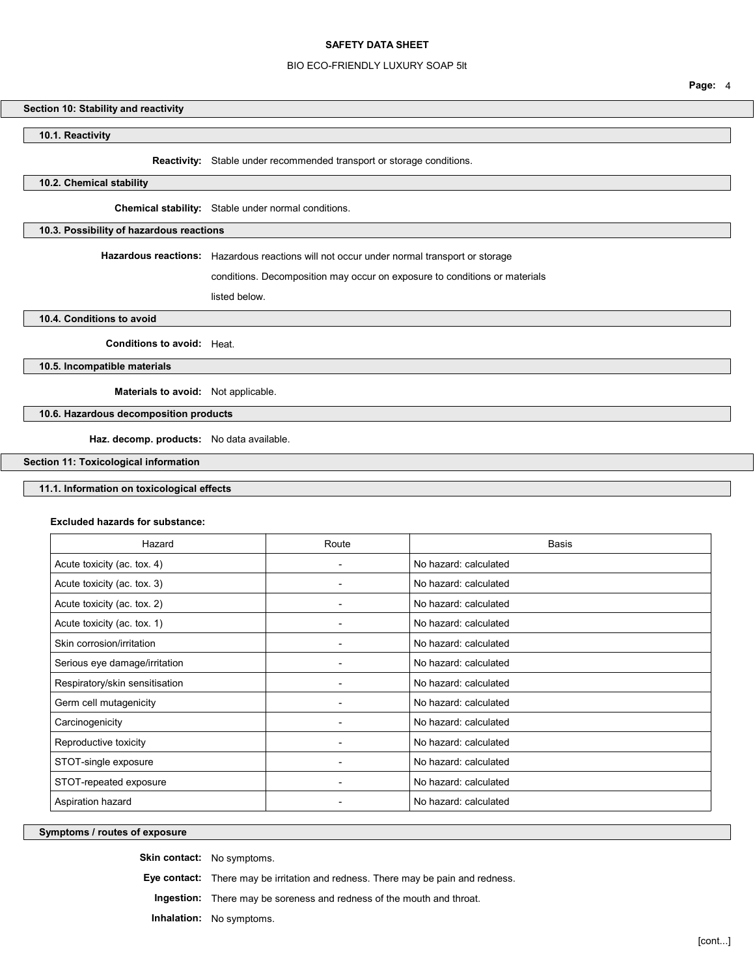### BIO ECO-FRIENDLY LUXURY SOAP 5lt

## Section 10: Stability and reactivity

10.1. Reactivity

Reactivity: Stable under recommended transport or storage conditions.

## 10.2. Chemical stability

Chemical stability: Stable under normal conditions.

### 10.3. Possibility of hazardous reactions

Hazardous reactions: Hazardous reactions will not occur under normal transport or storage

conditions. Decomposition may occur on exposure to conditions or materials

listed below.

10.4. Conditions to avoid

Conditions to avoid: Heat.

10.5. Incompatible materials

Materials to avoid: Not applicable.

### 10.6. Hazardous decomposition products

Haz. decomp. products: No data available.

Section 11: Toxicological information

### 11.1. Information on toxicological effects

#### Excluded hazards for substance:

| Hazard                         | Route                    | <b>Basis</b>          |
|--------------------------------|--------------------------|-----------------------|
| Acute toxicity (ac. tox. 4)    | ۰                        | No hazard: calculated |
| Acute toxicity (ac. tox. 3)    |                          | No hazard: calculated |
| Acute toxicity (ac. tox. 2)    |                          | No hazard: calculated |
| Acute toxicity (ac. tox. 1)    | ۰                        | No hazard: calculated |
| Skin corrosion/irritation      | $\blacksquare$           | No hazard: calculated |
| Serious eye damage/irritation  | $\overline{\phantom{0}}$ | No hazard: calculated |
| Respiratory/skin sensitisation |                          | No hazard: calculated |
| Germ cell mutagenicity         |                          | No hazard: calculated |
| Carcinogenicity                | ۰                        | No hazard: calculated |
| Reproductive toxicity          |                          | No hazard: calculated |
| STOT-single exposure           | $\overline{\phantom{0}}$ | No hazard: calculated |
| STOT-repeated exposure         |                          | No hazard: calculated |
| Aspiration hazard              |                          | No hazard: calculated |

Symptoms / routes of exposure

Skin contact: No symptoms.

Eye contact: There may be irritation and redness. There may be pain and redness.

Ingestion: There may be soreness and redness of the mouth and throat.

Inhalation: No symptoms.

Page: 4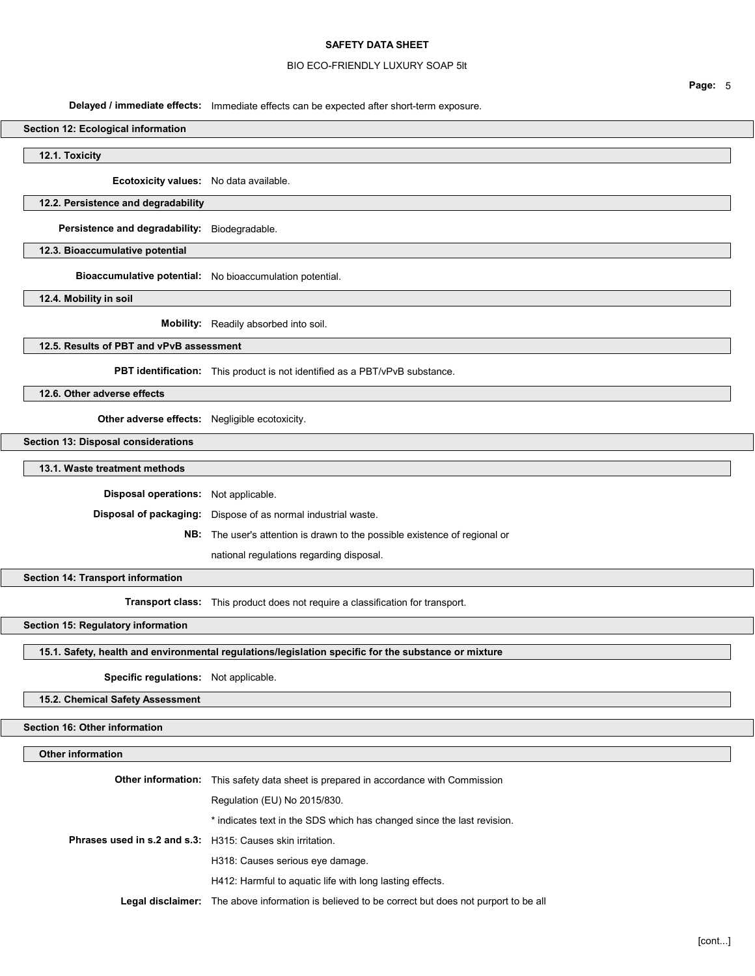### BIO ECO-FRIENDLY LUXURY SOAP 5lt

Delayed / immediate effects: Immediate effects can be expected after short-term exposure.

#### Section 12: Ecological information

12.1. Toxicity

Ecotoxicity values: No data available.

## 12.2. Persistence and degradability

Persistence and degradability: Biodegradable.

### 12.3. Bioaccumulative potential

Bioaccumulative potential: No bioaccumulation potential.

12.4. Mobility in soil

Mobility: Readily absorbed into soil.

## 12.5. Results of PBT and vPvB assessment

PBT identification: This product is not identified as a PBT/vPvB substance.

12.6. Other adverse effects

Other adverse effects: Negligible ecotoxicity.

#### Section 13: Disposal considerations

13.1. Waste treatment methods

Disposal operations: Not applicable.

Disposal of packaging: Dispose of as normal industrial waste.

NB: The user's attention is drawn to the possible existence of regional or

national regulations regarding disposal.

#### Section 14: Transport information

Transport class: This product does not require a classification for transport.

Section 15: Regulatory information

## 15.1. Safety, health and environmental regulations/legislation specific for the substance or mixture

## Specific regulations: Not applicable.

15.2. Chemical Safety Assessment

# Section 16: Other information

## Other information

|                                                            | <b>Other information:</b> This safety data sheet is prepared in accordance with Commission       |
|------------------------------------------------------------|--------------------------------------------------------------------------------------------------|
|                                                            | Regulation (EU) No 2015/830.                                                                     |
|                                                            | * indicates text in the SDS which has changed since the last revision.                           |
| Phrases used in s.2 and s.3: H315: Causes skin irritation. |                                                                                                  |
|                                                            | H318: Causes serious eye damage.                                                                 |
|                                                            | H412: Harmful to aquatic life with long lasting effects.                                         |
|                                                            | Legal disclaimer: The above information is believed to be correct but does not purport to be all |

Page: 5